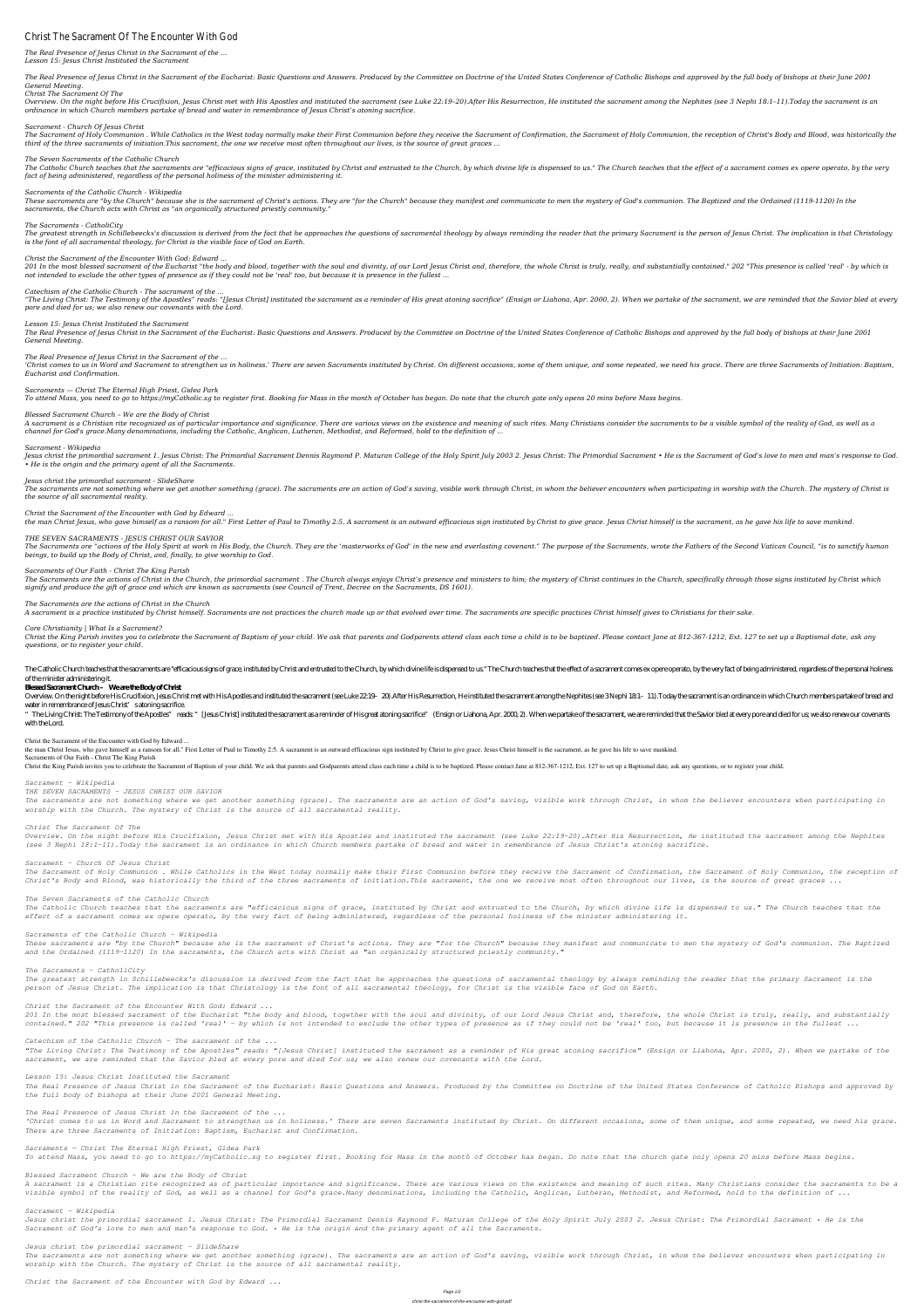# Christ The Sacrament Of The Encounter With God

# *The Real Presence of Jesus Christ in the Sacrament of the ... Lesson 15: Jesus Christ Instituted the Sacrament*

The Real Presence of Jesus Christ in the Sacrament of the Eucharist: Basic Questions and Answers. Produced by the Committee on Doctrine of the United States Conference of Catholic Bishops and approved by the full body of b *General Meeting.*

Overview. On the night before His Crucifixion, Jesus Christ met with His Apostles and instituted the sacrament (see Luke 22:19-20).After His Resurrection, He instituted the sacrament among the Nephites (see 3 Nephi 18:1-11 *ordinance in which Church members partake of bread and water in remembrance of Jesus Christ's atoning sacrifice.*

#### *Christ The Sacrament Of The*

The Sacrament of Holy Communion . While Catholics in the West today normally make their First Communion before they receive the Sacrament of Confirmation, the Sacrament of Holy Communion, the reception of Christ's Body and *third of the three sacraments of initiation.This sacrament, the one we receive most often throughout our lives, is the source of great graces ...*

The Catholic Church teaches that the sacraments are "efficacious signs of grace, instituted by Christ and entrusted to the Church, by which divine life is dispensed to us." The Church teaches that the effect of a sacrament *fact of being administered, regardless of the personal holiness of the minister administering it.*

#### *Sacrament - Church Of Jesus Christ*

These sacraments are "by the Church" because she is the sacrament of Christ's actions. They are "for the Church" because they manifest and communicate to men the mystery of God's communion. The Baptized and the Ordained (1 *sacraments, the Church acts with Christ as "an organically structured priestly community."*

The greatest strength in Schillebeeckx's discussion is derived from the fact that he approaches the questions of sacramental theology by always reminding the reader that the primary Sacrament is the person of Jesus Christ. *is the font of all sacramental theology, for Christ is the visible face of God on Earth.*

#### *The Seven Sacraments of the Catholic Church*

201 In the most blessed sacrament of the Eucharist "the body and blood, together with the soul and divinity, of our Lord Jesus Christ and, therefore, the whole Christ is truly, really, and substantially contained." 202 "Th *not intended to exclude the other types of presence as if they could not be 'real' too, but because it is presence in the fullest ...*

"The Living Christ: The Testimony of the Apostles" reads: "[Jesus Christ] instituted the sacrament as a reminder of His great atoning sacrifice" (Ensign or Liahona, Apr. 2000, 2). When we partake of the sacrament, we are r *pore and died for us; we also renew our covenants with the Lord.*

#### *Sacraments of the Catholic Church - Wikipedia*

The Real Presence of Jesus Christ in the Sacrament of the Eucharist: Basic Questions and Answers. Produced by the Committee on Doctrine of the United States Conference of Catholic Bishops and approved by the full body of b *General Meeting.*

'Christ comes to us in Word and Sacrament to strengthen us in holiness.' There are seven Sacraments instituted by Christ. On different occasions, some of them unique, and some repeated, we need his grace. There are three S *Eucharist and Confirmation.*

# *The Sacraments - CatholiCity*

A sacrament is a Christian rite recognized as of particular importance and significance. There are various views on the existence and meaning of such rites. Many Christians consider the sacraments to be a visible symbol of *channel for God's grace.Many denominations, including the Catholic, Anglican, Lutheran, Methodist, and Reformed, hold to the definition of ...*

# *Christ the Sacrament of the Encounter With God: Edward ...*

Jesus christ the primordial sacrament 1. Jesus Christ: The Primordial Sacrament Dennis Raymond P. Maturan College of the Holy Spirit July 2003 2. Jesus Christ: The Primordial Sacrament • He is the Sacrament of God's love t *• He is the origin and the primary agent of all the Sacraments.*

# *Catechism of the Catholic Church - The sacrament of the ...*

The Sacraments are "actions of the Holy Spirit at work in His Body, the Church. They are the 'masterworks of God' in the new and everlasting covenant." The purpose of the Sacraments, wrote the Fathers of the Second Vatican *beings, to build up the Body of Christ, and, finally, to give worship to God.*

The Sacraments are the actions of Christ in the Church, the primordial sacrament. The Church always enjoys Christ's presence and ministers to him; the mystery of Christ continues in the Church, specifically through those s *signify and produce the gift of grace and which are known as sacraments (see Council of Trent, Decree on the Sacraments, DS 1601).*

#### *Lesson 15: Jesus Christ Instituted the Sacrament*

Christ the Kina Parish invites you to celebrate the Sacrament of Baptism of your child. We ask that parents and Godparents attend class each time a child is to be baptized. Please contact Iane at 812-367-1212. Ext. 127 to *questions, or to register your child.*

# *The Real Presence of Jesus Christ in the Sacrament of the ...*

The Catholic Church teaches that the sacraments are "efficacious signs of grace, instituted by Christ and entrusted to the Church, by which divine life is dispensed to us." The Church teaches that the effect of a sacrament of the minister administering it.

# *Sacraments — Christ The Eternal High Priest, Gidea Park*

*To attend Mass, you need to go to https://myCatholic.sg to register first. Booking for Mass in the month of October has began. Do note that the church gate only opens 20 mins before Mass begins.*

" The Living Christ: The Testimony of the Apostles" reads " [Jesus Christ] instituted the sacrament as a reminder of His great atoning sacrifice" (Ensign or Liahona, Apr. 2000, 2). When we partake of the sacrament, we are with the Lord.

# *Blessed Sacrament Church – We are the Body of Christ*

#### *Sacrament - Wikipedia*

#### *Jesus christ the primordial sacrament - SlideShare*

The sacraments are not something where we get another something (grace). The sacraments are an action of God's saving, visible work through Christ, in whom the believer encounters when participating in worship with the Chu

#### *the source of all sacramental reality.*

#### *Christ the Sacrament of the Encounter with God by Edward ...*

the man Christ Jesus, who gave himself as a ransom for all." First Letter of Paul to Timothy 2:5. A sacrament is an outward efficacious sign instituted by Christ to give grace. Jesus Christ himself is the sacrament, as he

# *THE SEVEN SACRAMENTS - JESUS CHRIST OUR SAVIOR*

# *Sacraments of Our Faith - Christ The King Parish*

# *The Sacraments are the actions of Christ in the Church*

A sacrament is a practice instituted by Christ himself. Sacraments are not practices the church made up or that evolved over time. The sacraments are specific practices Christ himself gives to Christians for their sake.

# *Core Christianity | What Is a Sacrament?*

# **Blessed Sacrament Church – We are the Body of Christ**

Overview. On the night before His Crucifixion, Jesus Christ met with His Apostles and instituted the sacrament (see Luke 22.19-20). After His Resurrection, He instituted the sacrament among the Nephites (see 3Nephi 181-11) water in remembrance of Jesus Christ's atoning sacrifice.

# **Christ the Sacrament of the Encounter with God by Edward ...**

the man Christ Jesus, who gave himself as a ransom for all." First Letter of Paul to Timothy 2:5. A sacrament is an outward efficacious sign instituted by Christ to give grace. Jesus Christ himself is the sacrament, as he **Sacraments of Our Faith - Christ The King Parish** Christ the King Parish invites you to celebrate the Sacrament of Baptism of your child. We ask that parents and Godparents attend class each time a child is to be baptized. Please contact Jane at 812-367-1212, Ext. 127 to

*Sacrament - Wikipedia*

*THE SEVEN SACRAMENTS - JESUS CHRIST OUR SAVIOR*

*The sacraments are not something where we get another something (grace). The sacraments are an action of God's saving, visible work through Christ, in whom the believer encounters when participating in worship with the Church. The mystery of Christ is the source of all sacramental reality.*

# *Christ The Sacrament Of The*

*Overview. On the night before His Crucifixion, Jesus Christ met with His Apostles and instituted the sacrament (see Luke 22:19–20).After His Resurrection, He instituted the sacrament among the Nephites (see 3 Nephi 18:1–11).Today the sacrament is an ordinance in which Church members partake of bread and water in remembrance of Jesus Christ's atoning sacrifice.*

# *Sacrament - Church Of Jesus Christ*

*The Sacrament of Holy Communion . While Catholics in the West today normally make their First Communion before they receive the Sacrament of Confirmation, the Sacrament of Holy Communion, the reception of Christ's Body and Blood, was historically the third of the three sacraments of initiation.This sacrament, the one we receive most often throughout our lives, is the source of great graces ...*

# *The Seven Sacraments of the Catholic Church*

*The Catholic Church teaches that the sacraments are "efficacious signs of grace, instituted by Christ and entrusted to the Church, by which divine life is dispensed to us." The Church teaches that the effect of a sacrament comes ex opere operato, by the very fact of being administered, regardless of the personal holiness of the minister administering it.*

# *Sacraments of the Catholic Church - Wikipedia*

*These sacraments are "by the Church" because she is the sacrament of Christ's actions. They are "for the Church" because they manifest and communicate to men the mystery of God's communion. The Baptized and the Ordained (1119-1120) In the sacraments, the Church acts with Christ as "an organically structured priestly community."*

# *The Sacraments - CatholiCity*

*The greatest strength in Schillebeeckx's discussion is derived from the fact that he approaches the questions of sacramental theology by always reminding the reader that the primary Sacrament is the*

*person of Jesus Christ. The implication is that Christology is the font of all sacramental theology, for Christ is the visible face of God on Earth.*

*Christ the Sacrament of the Encounter With God: Edward ...*

*201 In the most blessed sacrament of the Eucharist "the body and blood, together with the soul and divinity, of our Lord Jesus Christ and, therefore, the whole Christ is truly, really, and substantially contained." 202 "This presence is called 'real' - by which is not intended to exclude the other types of presence as if they could not be 'real' too, but because it is presence in the fullest ...*

*Catechism of the Catholic Church - The sacrament of the ...*

*"The Living Christ: The Testimony of the Apostles" reads: "[Jesus Christ] instituted the sacrament as a reminder of His great atoning sacrifice" (Ensign or Liahona, Apr. 2000, 2). When we partake of the sacrament, we are reminded that the Savior bled at every pore and died for us; we also renew our covenants with the Lord.*

*Lesson 15: Jesus Christ Instituted the Sacrament*

*The Real Presence of Jesus Christ in the Sacrament of the Eucharist: Basic Questions and Answers. Produced by the Committee on Doctrine of the United States Conference of Catholic Bishops and approved by the full body of bishops at their June 2001 General Meeting.*

*The Real Presence of Jesus Christ in the Sacrament of the ...*

*'Christ comes to us in Word and Sacrament to strengthen us in holiness.' There are seven Sacraments instituted by Christ. On different occasions, some of them unique, and some repeated, we need his grace. There are three Sacraments of Initiation: Baptism, Eucharist and Confirmation.*

*Sacraments — Christ The Eternal High Priest, Gidea Park*

*To attend Mass, you need to go to https://myCatholic.sg to register first. Booking for Mass in the month of October has began. Do note that the church gate only opens 20 mins before Mass begins.*

*Blessed Sacrament Church – We are the Body of Christ*

*A sacrament is a Christian rite recognized as of particular importance and significance. There are various views on the existence and meaning of such rites. Many Christians consider the sacraments to be a visible symbol of the reality of God, as well as a channel for God's grace.Many denominations, including the Catholic, Anglican, Lutheran, Methodist, and Reformed, hold to the definition of ...*

*Sacrament - Wikipedia*

*Jesus christ the primordial sacrament 1. Jesus Christ: The Primordial Sacrament Dennis Raymond P. Maturan College of the Holy Spirit July 2003 2. Jesus Christ: The Primordial Sacrament • He is the Sacrament of God's love to men and man's response to God. • He is the origin and the primary agent of all the Sacraments.*

*Jesus christ the primordial sacrament - SlideShare*

*The sacraments are not something where we get another something (grace). The sacraments are an action of God's saving, visible work through Christ, in whom the believer encounters when participating in worship with the Church. The mystery of Christ is the source of all sacramental reality.*

*Christ the Sacrament of the Encounter with God by Edward ...*